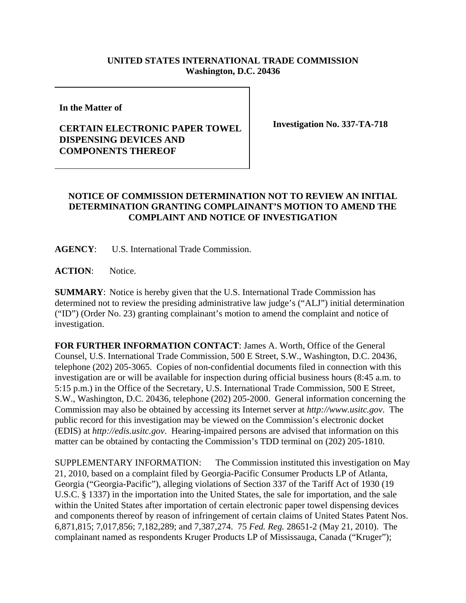## **UNITED STATES INTERNATIONAL TRADE COMMISSION Washington, D.C. 20436**

**In the Matter of** 

## **CERTAIN ELECTRONIC PAPER TOWEL DISPENSING DEVICES AND COMPONENTS THEREOF**

**Investigation No. 337-TA-718**

## **NOTICE OF COMMISSION DETERMINATION NOT TO REVIEW AN INITIAL DETERMINATION GRANTING COMPLAINANT'S MOTION TO AMEND THE COMPLAINT AND NOTICE OF INVESTIGATION**

**AGENCY**: U.S. International Trade Commission.

ACTION: Notice.

**SUMMARY**: Notice is hereby given that the U.S. International Trade Commission has determined not to review the presiding administrative law judge's ("ALJ") initial determination ("ID") (Order No. 23) granting complainant's motion to amend the complaint and notice of investigation.

**FOR FURTHER INFORMATION CONTACT**: James A. Worth, Office of the General Counsel, U.S. International Trade Commission, 500 E Street, S.W., Washington, D.C. 20436, telephone (202) 205-3065. Copies of non-confidential documents filed in connection with this investigation are or will be available for inspection during official business hours (8:45 a.m. to 5:15 p.m.) in the Office of the Secretary, U.S. International Trade Commission, 500 E Street, S.W., Washington, D.C. 20436, telephone (202) 205-2000. General information concerning the Commission may also be obtained by accessing its Internet server at *http://www.usitc.gov*. The public record for this investigation may be viewed on the Commission's electronic docket (EDIS) at *http://edis.usitc.gov*. Hearing-impaired persons are advised that information on this matter can be obtained by contacting the Commission's TDD terminal on (202) 205-1810.

SUPPLEMENTARY INFORMATION: The Commission instituted this investigation on May 21, 2010, based on a complaint filed by Georgia-Pacific Consumer Products LP of Atlanta, Georgia ("Georgia-Pacific"), alleging violations of Section 337 of the Tariff Act of 1930 (19 U.S.C. § 1337) in the importation into the United States, the sale for importation, and the sale within the United States after importation of certain electronic paper towel dispensing devices and components thereof by reason of infringement of certain claims of United States Patent Nos. 6,871,815; 7,017,856; 7,182,289; and 7,387,274. 75 *Fed. Reg.* 28651-2 (May 21, 2010). The complainant named as respondents Kruger Products LP of Mississauga, Canada ("Kruger");